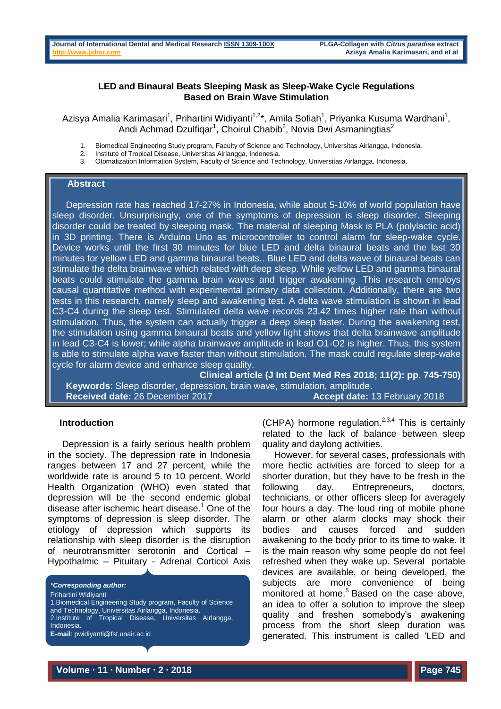## **LED and Binaural Beats Sleeping Mask as Sleep-Wake Cycle Regulations Based on Brain Wave Stimulation**

Azisya Amalia Karimasari<sup>1</sup>, Prihartini Widiyanti<sup>1,2</sup>\*, Amila Sofiah<sup>1</sup>, Priyanka Kusuma Wardhani<sup>1</sup>, Andi Achmad Dzulfiqar<sup>1</sup>, Choirul Chabib<sup>2</sup>, Novia Dwi Asmaningtias<sup>2</sup>

- 1. Biomedical Engineering Study program, Faculty of Science and Technology, Universitas Airlangga, Indonesia.
- 2. Institute of Tropical Disease, Universitas Airlangga, Indonesia.<br>3. Otomatization Information System, Faculty of Science and Tec
- Otomatization Information System, Faculty of Science and Technology, Universitas Airlangga, Indonesia.

## **Abstract**

Depression rate has reached 17-27% in Indonesia, while about 5-10% of world population have sleep disorder. Unsurprisingly, one of the symptoms of depression is sleep disorder. Sleeping disorder could be treated by sleeping mask. The material of sleeping Mask is PLA (polylactic acid) in 3D printing. There is Arduino Uno as microcontroller to control alarm for sleep-wake cycle. Device works until the first 30 minutes for blue LED and delta binaural beats and the last 30 minutes for yellow LED and gamma binaural beats.. Blue LED and delta wave of binaural beats can stimulate the delta brainwave which related with deep sleep. While yellow LED and gamma binaural beats could stimulate the gamma brain waves and trigger awakening. This research employs causal quantitative method with experimental primary data collection. Additionally, there are two tests in this research, namely sleep and awakening test. A delta wave stimulation is shown in lead C3-C4 during the sleep test. Stimulated delta wave records 23.42 times higher rate than without stimulation. Thus, the system can actually trigger a deep sleep faster. During the awakening test, the stimulation using gamma binaural beats and yellow light shows that delta brainwave amplitude in lead C3-C4 is lower; while alpha brainwave amplitude in lead O1-O2 is higher. Thus, this system is able to stimulate alpha wave faster than without stimulation. The mask could regulate sleep-wake cycle for alarm device and enhance sleep quality.

**Clinical article (J Int Dent Med Res 2018; 11(2): pp. 745-750) Keywords**: Sleep disorder, depression, brain wave, stimulation, amplitude. **Received date:** 26 December 2017 **Accept date:** 13 February 2018

#### **Introduction**

Depression is a fairly serious health problem in the society. The depression rate in Indonesia ranges between 17 and 27 percent, while the worldwide rate is around 5 to 10 percent. World Health Organization (WHO) even stated that depression will be the second endemic global disease after ischemic heart disease.<sup>1</sup> One of the symptoms of depression is sleep disorder. The etiology of depression which supports its relationship with sleep disorder is the disruption of neurotransmitter serotonin and Cortical – Hypothalmic – Pituitary - Adrenal Corticol Axis

*\*Corresponding author:* Prihartini Widiyanti 1.Biomedical Engineering Study program, Faculty of Science and Technology, Universitas Airlangga, Indonesia. 2.Institute of Tropical Disease, Universitas Airlangga, Indonesia. **E-mail**: pwidiyanti@fst.unair.ac.id

(CHPA) hormone regulation. $2,3,4$  This is certainly related to the lack of balance between sleep quality and daylong activities.

However, for several cases, professionals with more hectic activities are forced to sleep for a shorter duration, but they have to be fresh in the following day. Entrepreneurs, doctors, technicians, or other officers sleep for averagely four hours a day. The loud ring of mobile phone alarm or other alarm clocks may shock their bodies and causes forced and sudden awakening to the body prior to its time to wake. It is the main reason why some people do not feel refreshed when they wake up. Several portable devices are available, or being developed, the subjects are more convenience of being monitored at home.<sup>5</sup> Based on the case above, an idea to offer a solution to improve the sleep quality and freshen somebody's awakening process from the short sleep duration was generated. This instrument is called 'LED and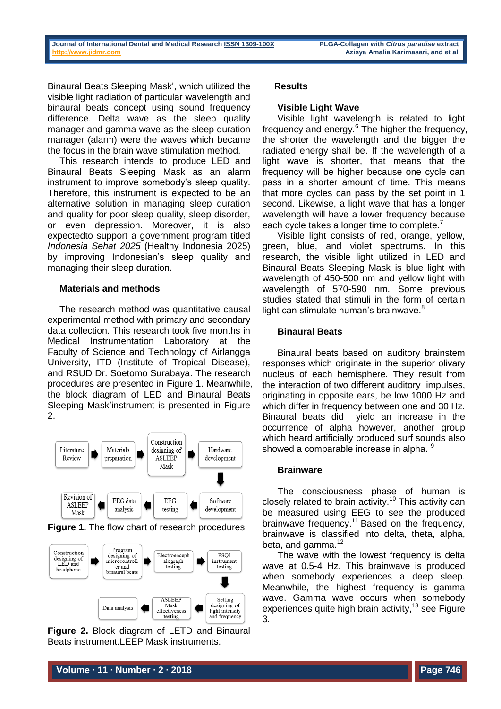Binaural Beats Sleeping Mask', which utilized the visible light radiation of particular wavelength and binaural beats concept using sound frequency difference. Delta wave as the sleep quality manager and gamma wave as the sleep duration manager (alarm) were the waves which became the focus in the brain wave stimulation method.

This research intends to produce LED and Binaural Beats Sleeping Mask as an alarm instrument to improve somebody's sleep quality. Therefore, this instrument is expected to be an alternative solution in managing sleep duration and quality for poor sleep quality, sleep disorder, or even depression. Moreover, it is also expectedto support a government program titled *Indonesia Sehat 2025* (Healthy Indonesia 2025) by improving Indonesian's sleep quality and managing their sleep duration.

### **Materials and methods**

The research method was quantitative causal experimental method with primary and secondary data collection. This research took five months in Medical Instrumentation Laboratory at the Faculty of Science and Technology of Airlangga University, ITD (Institute of Tropical Disease), and RSUD Dr. Soetomo Surabaya. The research procedures are presented in Figure 1. Meanwhile, the block diagram of LED and Binaural Beats Sleeping Mask'instrument is presented in Figure 2.



**Figure 1.** The flow chart of research procedures.



**Figure 2.** Block diagram of LETD and Binaural Beats instrument.LEEP Mask instruments.

### **Results**

#### **Visible Light Wave**

Visible light wavelength is related to light frequency and energy.<sup>6</sup> The higher the frequency, the shorter the wavelength and the bigger the radiated energy shall be. If the wavelength of a light wave is shorter, that means that the frequency will be higher because one cycle can pass in a shorter amount of time. This means that more cycles can pass by the set point in 1 second. Likewise, a light wave that has a longer wavelength will have a lower frequency because each cycle takes a longer time to complete.<sup>7</sup>

Visible light consists of red, orange, yellow, green, blue, and violet spectrums. In this research, the visible light utilized in LED and Binaural Beats Sleeping Mask is blue light with wavelength of 450-500 nm and yellow light with wavelength of 570-590 nm. Some previous studies stated that stimuli in the form of certain light can stimulate human's brainwave.<sup>8</sup>

## **Binaural Beats**

Binaural beats based on auditory brainstem responses which originate in the superior olivary nucleus of each hemisphere. They result from the interaction of two different auditory impulses, originating in opposite ears, be low 1000 Hz and which differ in frequency between one and 30 Hz. Binaural beats did yield an increase in the occurrence of alpha however, another group which heard artificially produced surf sounds also showed a comparable increase in alpha. <sup>9</sup>

## **Brainware**

The consciousness phase of human is closely related to brain activity.<sup>10</sup> This activity can be measured using EEG to see the produced brainwave frequency.<sup>11</sup> Based on the frequency, brainwave is classified into delta, theta, alpha, beta, and gamma. $12$ 

The wave with the lowest frequency is delta wave at 0.5-4 Hz. This brainwave is produced when somebody experiences a deep sleep. Meanwhile, the highest frequency is gamma wave. Gamma wave occurs when somebody experiences quite high brain activity, <sup>13</sup> see Figure 3.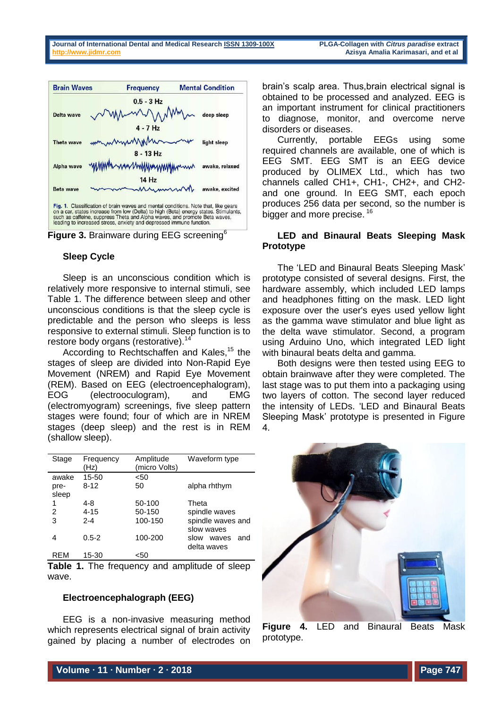



### **Sleep Cycle**

Sleep is an unconscious condition which is relatively more responsive to internal stimuli, see Table 1. The difference between sleep and other unconscious conditions is that the sleep cycle is predictable and the person who sleeps is less responsive to external stimuli. Sleep function is to restore body organs (restorative).<sup>14</sup>

According to Rechtschaffen and Kales,<sup>15</sup> the stages of sleep are divided into Non-Rapid Eye Movement (NREM) and Rapid Eye Movement (REM). Based on EEG (electroencephalogram), EOG (electrooculogram), and EMG (electromyogram) screenings, five sleep pattern stages were found; four of which are in NREM stages (deep sleep) and the rest is in REM (shallow sleep).

| Stage                  | Frequency<br>(Hz) | Amplitude<br>(micro Volts) | Waveform type                       |
|------------------------|-------------------|----------------------------|-------------------------------------|
| awake<br>pre-<br>sleep | 15-50<br>$8 - 12$ | <50<br>50                  | alpha rhthym                        |
| 1<br>2                 | 4-8<br>$4 - 15$   | 50-100<br>50-150           | Theta<br>spindle waves              |
| 3                      | $2 - 4$           | 100-150                    | spindle waves and<br>slow waves     |
| 4                      | $0.5 - 2$         | 100-200                    | slow<br>waves<br>and<br>delta waves |
| <b>REM</b>             | 15-30             | <50                        |                                     |

**Table 1.** The frequency and amplitude of sleep wave.

## **Electroencephalograph (EEG)**

EEG is a non-invasive measuring method which represents electrical signal of brain activity gained by placing a number of electrodes on brain's scalp area. Thus,brain electrical signal is obtained to be processed and analyzed. EEG is an important instrument for clinical practitioners to diagnose, monitor, and overcome nerve disorders or diseases.

Currently, portable EEGs using some required channels are available, one of which is EEG SMT. EEG SMT is an EEG device produced by OLIMEX Ltd., which has two channels called CH1+, CH1-, CH2+, and CH2 and one ground. In EEG SMT, each epoch produces 256 data per second, so the number is bigger and more precise.<sup>16</sup>

## **LED and Binaural Beats Sleeping Mask Prototype**

The 'LED and Binaural Beats Sleeping Mask' prototype consisted of several designs. First, the hardware assembly, which included LED lamps and headphones fitting on the mask. LED light exposure over the user's eyes used yellow light as the gamma wave stimulator and blue light as the delta wave stimulator. Second, a program using Arduino Uno, which integrated LED light with binaural beats delta and gamma.

Both designs were then tested using EEG to obtain brainwave after they were completed. The last stage was to put them into a packaging using two layers of cotton. The second layer reduced the intensity of LEDs. 'LED and Binaural Beats Sleeping Mask' prototype is presented in Figure 4.



**Figure 4.** LED and Binaural Beats Mask prototype.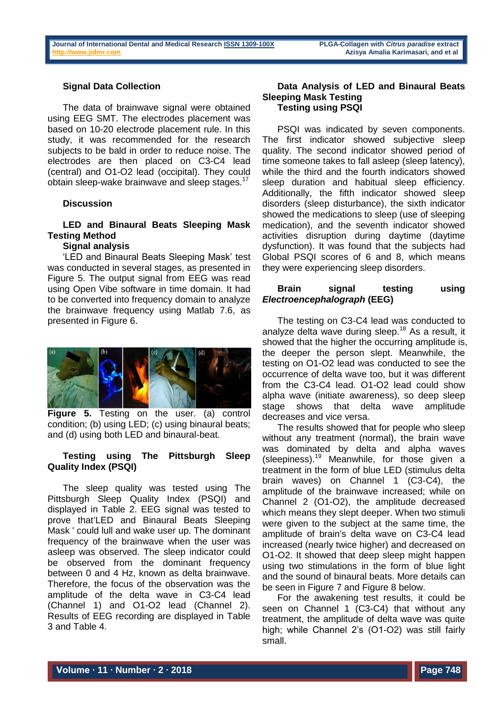## **Signal Data Collection**

The data of brainwave signal were obtained using EEG SMT. The electrodes placement was based on 10-20 electrode placement rule. In this study, it was recommended for the research subjects to be bald in order to reduce noise. The electrodes are then placed on C3-C4 lead (central) and O1-O2 lead (occipital). They could obtain sleep-wake brainwave and sleep stages.<sup>17</sup>

### **Discussion**

# **LED and Binaural Beats Sleeping Mask Testing Method**

## **Signal analysis**

'LED and Binaural Beats Sleeping Mask' test was conducted in several stages, as presented in Figure 5. The output signal from EEG was read using Open Vibe software in time domain. It had to be converted into frequency domain to analyze the brainwave frequency using Matlab 7.6, as presented in Figure 6.



**Figure 5.** Testing on the user. (a) control condition; (b) using LED; (c) using binaural beats; and (d) using both LED and binaural-beat.

## **Testing using The Pittsburgh Sleep Quality Index (PSQI)**

The sleep quality was tested using The Pittsburgh Sleep Quality Index (PSQI) and displayed in Table 2. EEG signal was tested to prove that'LED and Binaural Beats Sleeping Mask ' could lull and wake user up. The dominant frequency of the brainwave when the user was asleep was observed. The sleep indicator could be observed from the dominant frequency between 0 and 4 Hz, known as delta brainwave. Therefore, the focus of the observation was the amplitude of the delta wave in C3-C4 lead (Channel 1) and O1-O2 lead (Channel 2). Results of EEG recording are displayed in Table 3 and Table 4.

### **Data Analysis of LED and Binaural Beats Sleeping Mask Testing Testing using PSQI**

PSQI was indicated by seven components. The first indicator showed subjective sleep quality. The second indicator showed period of time someone takes to fall asleep (sleep latency), while the third and the fourth indicators showed sleep duration and habitual sleep efficiency. Additionally, the fifth indicator showed sleep disorders (sleep disturbance), the sixth indicator showed the medications to sleep (use of sleeping medication), and the seventh indicator showed activities disruption during daytime (daytime dysfunction). It was found that the subjects had Global PSQI scores of 6 and 8, which means they were experiencing sleep disorders.

### **Brain signal testing using**  *Electroencephalograph* **(EEG)**

The testing on C3-C4 lead was conducted to analyze delta wave during sleep.<sup>18</sup> As a result, it showed that the higher the occurring amplitude is, the deeper the person slept. Meanwhile, the testing on O1-O2 lead was conducted to see the occurrence of delta wave too, but it was different from the C3-C4 lead. O1-O2 lead could show alpha wave (initiate awareness), so deep sleep stage shows that delta wave amplitude decreases and vice versa.

The results showed that for people who sleep without any treatment (normal), the brain wave was dominated by delta and alpha waves (sleepiness).<sup>19</sup> Meanwhile, for those given a treatment in the form of blue LED (stimulus delta brain waves) on Channel 1 (C3-C4), the amplitude of the brainwave increased; while on Channel 2 (O1-O2), the amplitude decreased which means they slept deeper. When two stimuli were given to the subject at the same time, the amplitude of brain's delta wave on C3-C4 lead increased (nearly twice higher) and decreased on O1-O2. It showed that deep sleep might happen using two stimulations in the form of blue light and the sound of binaural beats. More details can be seen in Figure 7 and Figure 8 below.

For the awakening test results, it could be seen on Channel 1 (C3-C4) that without any treatment, the amplitude of delta wave was quite high; while Channel 2's (O1-O2) was still fairly small.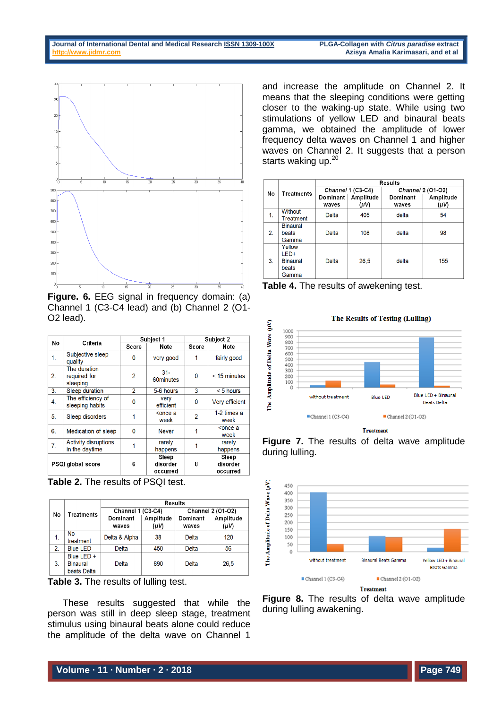

**Figure. 6.** EEG signal in frequency domain: (a) Channel 1 (C3-C4 lead) and (b) Channel 2 (O1- O2 lead).

| No                       | Criteria                                      | Subject 1      |                               | Subject 2                |                               |
|--------------------------|-----------------------------------------------|----------------|-------------------------------|--------------------------|-------------------------------|
|                          |                                               | Score          | Note                          | Score                    | Note                          |
| 1.                       | Subjective sleep<br>quality                   | 0              | very good                     |                          | fairly good                   |
| 2.                       | The duration<br>required for<br>sleeping      | 2              | $31 -$<br>60minutes           | 0                        | $<$ 15 minutes                |
| 3.                       | Sleep duration                                | $\mathfrak{p}$ | 5-6 hours                     | 3                        | $< 5$ hours                   |
| 4.                       | The efficiency of<br>sleeping habits          | 0              | very<br>efficient             | 0                        | Very efficient                |
| 5.                       | Sleep disorders                               | 1              | <once a<br="">week</once>     | $\overline{\phantom{a}}$ | 1-2 times a<br>week           |
| 6.                       | Medication of sleep                           | 0              | <b>Never</b>                  | 1                        | <once a<br="">week</once>     |
| 7.                       | <b>Activity disruptions</b><br>in the daytime |                | rarely<br>happens             |                          | rarely<br>happens             |
| <b>PSQI global score</b> |                                               | 6              | Sleep<br>disorder<br>occurred | 8                        | Sleep<br>disorder<br>occurred |

**Table 2.** The results of PSQI test.

|    | <b>Treatments</b>                            | Results           |           |                          |           |  |
|----|----------------------------------------------|-------------------|-----------|--------------------------|-----------|--|
| No |                                              | Channel 1 (C3-C4) |           | <b>Channel 2 (01-02)</b> |           |  |
|    |                                              | Dominant          | Amplitude | Dominant                 | Amplitude |  |
|    |                                              | waves             | (µV)      | waves                    | (µV)      |  |
| 1. | <b>No</b><br>treatment                       | Delta & Alpha     | 38        | Delta                    | 120       |  |
| 2. | <b>Blue LED</b>                              | Delta             | 450       | Delta                    | 56        |  |
| 3. | Blue LED +<br><b>Binaural</b><br>beats Delta | Delta             | 890       | <b>Delta</b>             | 26,5      |  |



These results suggested that while the person was still in deep sleep stage, treatment stimulus using binaural beats alone could reduce the amplitude of the delta wave on Channel 1

and increase the amplitude on Channel 2. It means that the sleeping conditions were getting closer to the waking-up state. While using two stimulations of yellow LED and binaural beats gamma, we obtained the amplitude of lower frequency delta waves on Channel 1 and higher waves on Channel 2. It suggests that a person starts waking up.<sup>20</sup>

|                | <b>Treatments</b> | <b>Results</b>    |           |                   |           |
|----------------|-------------------|-------------------|-----------|-------------------|-----------|
| No             |                   | Channel 1 (C3-C4) |           | Channel 2 (01-02) |           |
|                |                   | Dominant          | Amplitude | Dominant          | Amplitude |
|                |                   | waves             | $(\mu V)$ | waves             | (µV)      |
| 1.             | <b>Without</b>    | Delta             | 405       | delta             | 54        |
|                | Treatment         |                   |           |                   |           |
|                | <b>Binaural</b>   |                   |           |                   |           |
| 2 <sub>1</sub> | beats             | Delta             | 108       | delta             | 98        |
|                | Gamma             |                   |           |                   |           |
| 3.             | Yellow            |                   |           |                   |           |
|                | LED+              |                   |           |                   |           |
|                | <b>Binaural</b>   | Delta             | 26.5      | delta             | 155       |
|                | beats             |                   |           |                   |           |
|                | Gamma             |                   |           |                   |           |

**Table 4.** The results of awekening test.



**Treatment**